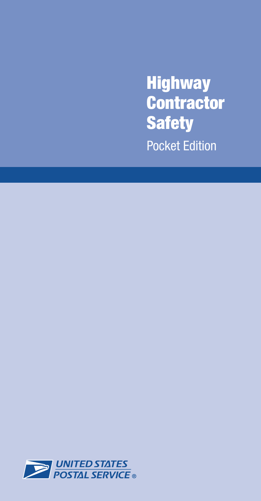**Highway Contractor Safety** Pocket Edition

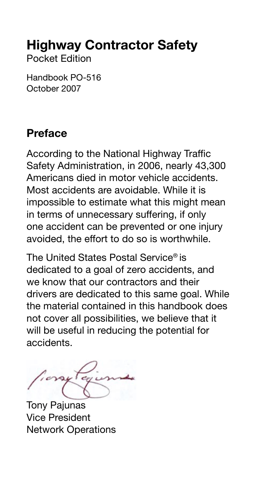## Highway Contractor Safety

Pocket Edition

Handbook PO-516 October 2007

### Preface

According to the National Highway Traffic Safety Administration, in 2006, nearly 43,300 Americans died in motor vehicle accidents. Most accidents are avoidable. While it is impossible to estimate what this might mean in terms of unnecessary suffering, if only one accident can be prevented or one injury avoided, the effort to do so is worthwhile.

The United States Postal Service® is dedicated to a goal of zero accidents, and we know that our contractors and their drivers are dedicated to this same goal. While the material contained in this handbook does not cover all possibilities, we believe that it will be useful in reducing the potential for accidents.

Tony Pajunas Vice President Network Operations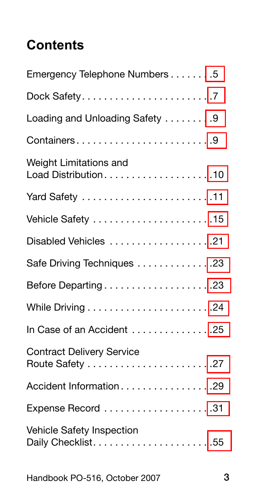## **Contents**

| Emergency Telephone Numbers 5    |
|----------------------------------|
|                                  |
| Loading and Unloading Safety 9   |
|                                  |
| Weight Limitations and           |
| Yard Safety 11                   |
|                                  |
| Disabled Vehicles 21             |
| Safe Driving Techniques 23       |
| Before Departing23               |
|                                  |
| In Case of an Accident 25        |
| <b>Contract Delivery Service</b> |
| Accident Information29           |
|                                  |
| Vehicle Safety Inspection        |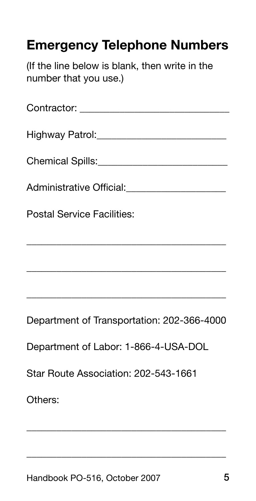## <span id="page-3-0"></span>Emergency Telephone Numbers

(If the line below is blank, then write in the number that you use.)

| Administrative Official: _______________________ |
|--------------------------------------------------|
| <b>Postal Service Facilities:</b>                |
|                                                  |
|                                                  |

Department of Transportation: 202-366-4000

\_\_\_\_\_\_\_\_\_\_\_\_\_\_\_\_\_\_\_\_\_\_\_\_\_\_\_\_\_\_\_\_\_\_\_\_\_\_\_\_

\_\_\_\_\_\_\_\_\_\_\_\_\_\_\_\_\_\_\_\_\_\_\_\_\_\_\_\_\_\_\_\_\_\_\_\_\_\_\_\_

\_\_\_\_\_\_\_\_\_\_\_\_\_\_\_\_\_\_\_\_\_\_\_\_\_\_\_\_\_\_\_\_\_\_\_\_\_\_\_\_

Department of Labor: 1-866-4-USA-DOL

Star Route Association: 202-543-1661

Others: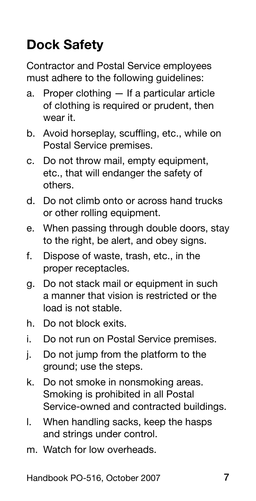# <span id="page-4-0"></span>Dock Safety

Contractor and Postal Service employees must adhere to the following guidelines:

- Proper clothing If a particular article of clothing is required or prudent, then wear it. a.
- b. Avoid horseplay, scuffling, etc., while on Postal Service premises.
- c. Do not throw mail, empty equipment, etc., that will endanger the safety of others.
- d. Do not climb onto or across hand trucks or other rolling equipment.
- When passing through double doors, stay to the right, be alert, and obey signs. e.
- Dispose of waste, trash, etc., in the proper receptacles. f.
- Do not stack mail or equipment in such a manner that vision is restricted or the load is not stable. g.
- h. Do not block exits.
- Do not run on Postal Service premises. i.
- Do not jump from the platform to the ground; use the steps. j.
- Do not smoke in nonsmoking areas. Smoking is prohibited in all Postal Service-owned and contracted buildings. k.
- When handling sacks, keep the hasps and strings under control. l.
- m. Watch for low overheads.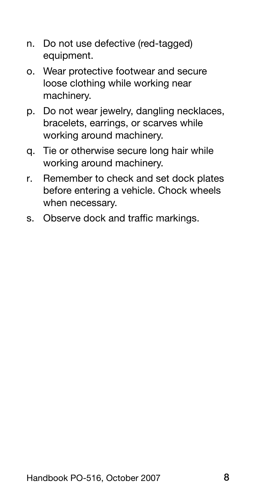- n. Do not use defective (red-tagged) equipment.
- o. Wear protective footwear and secure loose clothing while working near machinery.
- p. Do not wear jewelry, dangling necklaces, bracelets, earrings, or scarves while working around machinery.
- q. Tie or otherwise secure long hair while working around machinery.
- Remember to check and set dock plates before entering a vehicle. Chock wheels when necessary. r.
- s. Observe dock and traffic markings.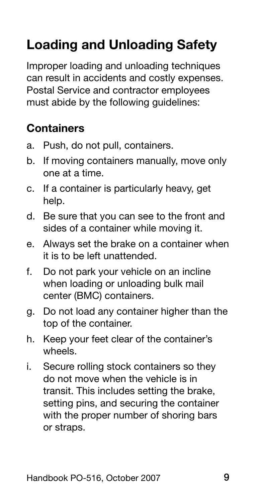# <span id="page-6-0"></span>Loading and Unloading Safety

Improper loading and unloading techniques can result in accidents and costly expenses. Postal Service and contractor employees must abide by the following guidelines:

### **Containers**

- Push, do not pull, containers. a.
- If moving containers manually, move only one at a time. b.
- If a container is particularly heavy, get help. c.
- d. Be sure that you can see to the front and sides of a container while moving it.
- e. Always set the brake on a container when it is to be left unattended.
- Do not park your vehicle on an incline when loading or unloading bulk mail center (BMC) containers. f.
- g. Do not load any container higher than the top of the container.
- h. Keep your feet clear of the container's wheels.
- Secure rolling stock containers so they do not move when the vehicle is in transit. This includes setting the brake, setting pins, and securing the container with the proper number of shoring bars or straps. i.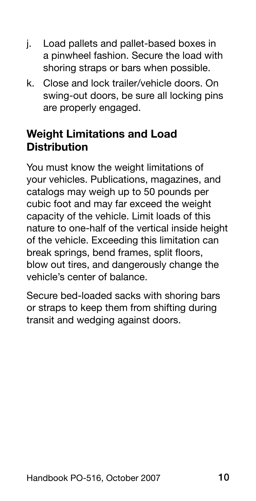- <span id="page-7-0"></span>Load pallets and pallet-based boxes in a pinwheel fashion. Secure the load with shoring straps or bars when possible. j.
- Close and lock trailer/vehicle doors. On k.swing-out doors, be sure all locking pins are properly engaged.

### Weight Limitations and Load **Distribution**

You must know the weight limitations of your vehicles. Publications, magazines, and catalogs may weigh up to 50 pounds per cubic foot and may far exceed the weight capacity of the vehicle. Limit loads of this nature to one-half of the vertical inside height of the vehicle. Exceeding this limitation can break springs, bend frames, split floors, blow out tires, and dangerously change the vehicle's center of balance.

Secure bed-loaded sacks with shoring bars or straps to keep them from shifting during transit and wedging against doors.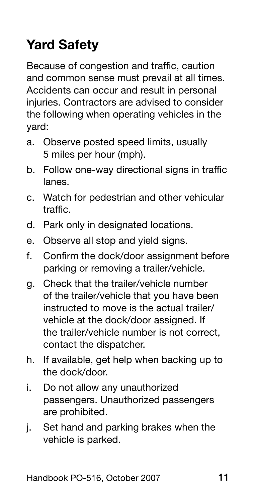# <span id="page-8-0"></span>Yard Safety

Because of congestion and traffic, caution and common sense must prevail at all times. Accidents can occur and result in personal injuries. Contractors are advised to consider the following when operating vehicles in the yard:

- Observe posted speed limits, usually a. 5 miles per hour (mph).
- Follow one-way directional signs in traffic lanes. b.
- c. Watch for pedestrian and other vehicular traffic.
- d. Park only in designated locations.
- Observe all stop and yield signs. e.
- Confirm the dock/door assignment before parking or removing a trailer/vehicle. f.
- Check that the trailer/vehicle number g. of the trailer/vehicle that you have been instructed to move is the actual trailer/ vehicle at the dock/door assigned. If the trailer/vehicle number is not correct, contact the dispatcher.
- h. If available, get help when backing up to the dock/door.
- Do not allow any unauthorized passengers. Unauthorized passengers are prohibited. i.
- Set hand and parking brakes when the vehicle is parked. j.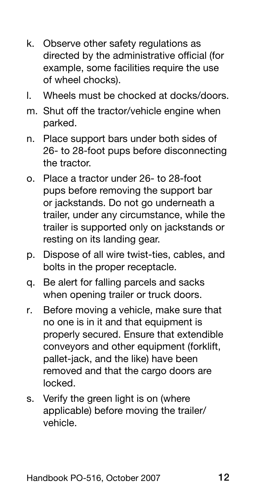- Observe other safety regulations as k. directed by the administrative official (for example, some facilities require the use of wheel chocks).
- Wheels must be chocked at docks/doors. l.
- m. Shut off the tractor/vehicle engine when parked.
- n. Place support bars under both sides of 26- to 28-foot pups before disconnecting the tractor.
- o. Place a tractor under 26- to 28-foot pups before removing the support bar or jackstands. Do not go underneath a trailer, under any circumstance, while the trailer is supported only on jackstands or resting on its landing gear.
- p. Dispose of all wire twist-ties, cables, and bolts in the proper receptacle.
- q. Be alert for falling parcels and sacks when opening trailer or truck doors.
- Before moving a vehicle, make sure that no one is in it and that equipment is properly secured. Ensure that extendible conveyors and other equipment (forklift, pallet-jack, and the like) have been removed and that the cargo doors are locked. r.
- Verify the green light is on (where applicable) before moving the trailer/ vehicle. s.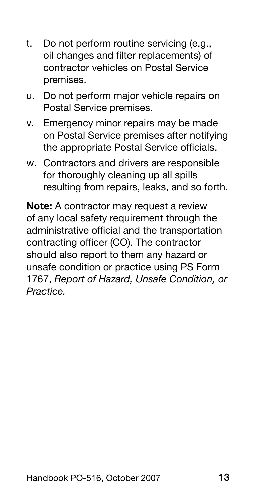- t. Do not perform routine servicing (e.g., oil changes and filter replacements) of contractor vehicles on Postal Service premises.
- u. Do not perform major vehicle repairs on Postal Service premises.
- v. Emergency minor repairs may be made on Postal Service premises after notifying the appropriate Postal Service officials.
- w. Contractors and drivers are responsible for thoroughly cleaning up all spills resulting from repairs, leaks, and so forth.

Note: A contractor may request a review of any local safety requirement through the administrative official and the transportation contracting officer (CO). The contractor should also report to them any hazard or unsafe condition or practice using PS Form 1767, *Report of Hazard, Unsafe Condition, or Practice.*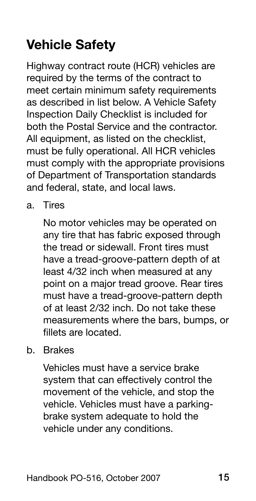# <span id="page-11-0"></span>Vehicle Safety

Highway contract route (HCR) vehicles are required by the terms of the contract to meet certain minimum safety requirements as described in list below. A Vehicle Safety Inspection Daily Checklist is included for both the Postal Service and the contractor. All equipment, as listed on the checklist, must be fully operational. All HCR vehicles must comply with the appropriate provisions of Department of Transportation standards and federal, state, and local laws.

a. Tires

No motor vehicles may be operated on any tire that has fabric exposed through the tread or sidewall. Front tires must have a tread-groove-pattern depth of at least 4/32 inch when measured at any point on a major tread groove. Rear tires must have a tread-groove-pattern depth of at least 2/32 inch. Do not take these measurements where the bars, bumps, or fillets are located.

b. Brakes

Vehicles must have a service brake system that can effectively control the movement of the vehicle, and stop the vehicle. Vehicles must have a parkingbrake system adequate to hold the vehicle under any conditions.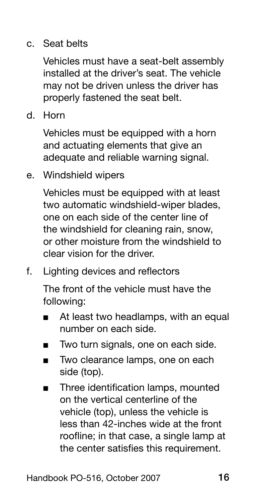### c. Seat belts

Vehicles must have a seat-belt assembly installed at the driver's seat. The vehicle may not be driven unless the driver has properly fastened the seat belt.

d. Horn

Vehicles must be equipped with a horn and actuating elements that give an adequate and reliable warning signal.

e. Windshield wipers

Vehicles must be equipped with at least two automatic windshield-wiper blades, one on each side of the center line of the windshield for cleaning rain, snow, or other moisture from the windshield to clear vision for the driver.

f. Lighting devices and reflectors

The front of the vehicle must have the following:

- At least two headlamps, with an equal number on each side. ■
- Two turn signals, one on each side. ■
- Two clearance lamps, one on each side (top). ■
- Three identification lamps, mounted on the vertical centerline of the vehicle (top), unless the vehicle is less than 42-inches wide at the front roofline; in that case, a single lamp at the center satisfies this requirement. ■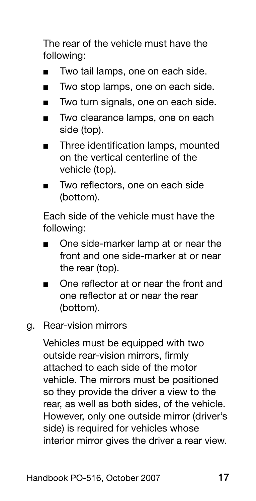The rear of the vehicle must have the following:

- Two tail lamps, one on each side. ■
- Two stop lamps, one on each side. ■
- Two turn signals, one on each side. ■
- Two clearance lamps, one on each side (top). ■
- Three identification lamps, mounted on the vertical centerline of the vehicle (top). ■
- Two reflectors, one on each side (bottom). ■

Each side of the vehicle must have the following:

- One side-marker lamp at or near the front and one side-marker at or near the rear (top). ■
- One reflector at or near the front and one reflector at or near the rear (bottom). ■
- g. Rear-vision mirrors

Vehicles must be equipped with two outside rear-vision mirrors, firmly attached to each side of the motor vehicle. The mirrors must be positioned so they provide the driver a view to the rear, as well as both sides, of the vehicle. However, only one outside mirror (driver's side) is required for vehicles whose interior mirror gives the driver a rear view.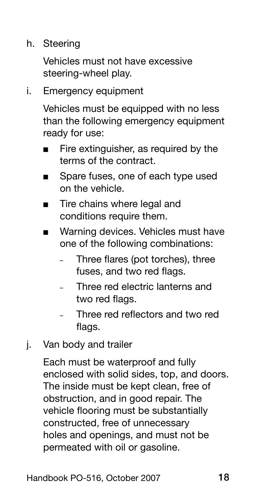h. Steering

Vehicles must not have excessive steering-wheel play.

i. Emergency equipment

Vehicles must be equipped with no less than the following emergency equipment ready for use:

- Fire extinguisher, as required by the terms of the contract. ■
- Spare fuses, one of each type used on the vehicle. ■
- Tire chains where legal and conditions require them. ■
- Warning devices. Vehicles must have one of the following combinations: ■
	- Three flares (pot torches), three fuses, and two red flags. –
	- Three red electric lanterns and two red flags. –
	- Three red reflectors and two red flags. –
- j. Van body and trailer

Each must be waterproof and fully enclosed with solid sides, top, and doors. The inside must be kept clean, free of obstruction, and in good repair. The vehicle flooring must be substantially constructed, free of unnecessary holes and openings, and must not be permeated with oil or gasoline.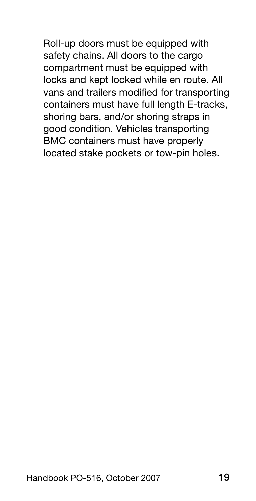Roll-up doors must be equipped with safety chains. All doors to the cargo compartment must be equipped with locks and kept locked while en route. All vans and trailers modified for transporting containers must have full length E-tracks, shoring bars, and/or shoring straps in good condition. Vehicles transporting BMC containers must have properly located stake pockets or tow-pin holes.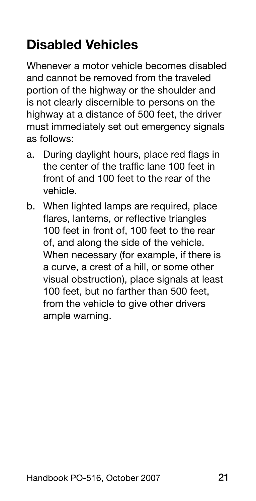## <span id="page-16-0"></span>Disabled Vehicles

Whenever a motor vehicle becomes disabled and cannot be removed from the traveled portion of the highway or the shoulder and is not clearly discernible to persons on the highway at a distance of 500 feet, the driver must immediately set out emergency signals as follows:

- a. During daylight hours, place red flags in the center of the traffic lane 100 feet in front of and 100 feet to the rear of the vehicle.
- When lighted lamps are required, place b.flares, lanterns, or reflective triangles 100 feet in front of, 100 feet to the rear of, and along the side of the vehicle. When necessary (for example, if there is a curve, a crest of a hill, or some other visual obstruction), place signals at least 100 feet, but no farther than 500 feet, from the vehicle to give other drivers ample warning.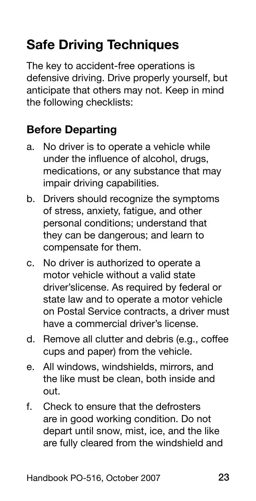# <span id="page-17-0"></span>Safe Driving Techniques

The key to accident-free operations is defensive driving. Drive properly yourself, but anticipate that others may not. Keep in mind the following checklists:

## Before Departing

- No driver is to operate a vehicle while under the influence of alcohol, drugs, medications, or any substance that may impair driving capabilities. a.
- Drivers should recognize the symptoms of stress, anxiety, fatigue, and other personal conditions; understand that they can be dangerous; and learn to compensate for them. b.
- c. No driver is authorized to operate a motor vehicle without a valid state driver'slicense. As required by federal or state law and to operate a motor vehicle on Postal Service contracts, a driver must have a commercial driver's license
- d. Remove all clutter and debris (e.g., coffee cups and paper) from the vehicle.
- All windows, windshields, mirrors, and the like must be clean, both inside and out. e.
- Check to ensure that the defrosters are in good working condition. Do not depart until snow, mist, ice, and the like are fully cleared from the windshield and f.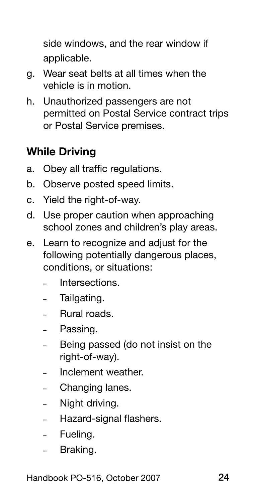<span id="page-18-0"></span>side windows, and the rear window if applicable.

- Wear seat belts at all times when the g. vehicle is in motion.
- Unauthorized passengers are not permitted on Postal Service contract trips or Postal Service premises. h.

### While Driving

- Obey all traffic regulations. a.
- b. Observe posted speed limits.
- c. Yield the right-of-way.
- d. Use proper caution when approaching school zones and children's play areas.
- e. Learn to recognize and adjust for the following potentially dangerous places, conditions, or situations:
	- Intersections. –
	- Tailgating. –
	- Rural roads. –
	- Passing. –
	- Being passed (do not insist on the right-of-way). –
	- Inclement weather. –
	- Changing lanes. –
	- Night driving. –
	- Hazard-signal flashers. –
	- Fueling.
	- Braking. –

Handbook PO-516, October 2007 24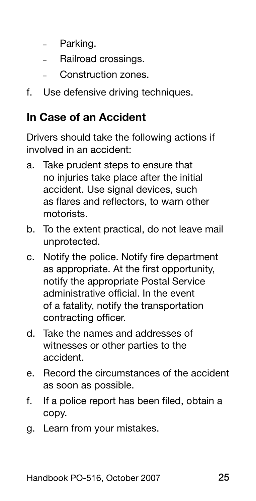- <span id="page-19-0"></span>- Parking.
- Railroad crossings. –
- Construction zones. –
- f. Use defensive driving techniques.

### In Case of an Accident

Drivers should take the following actions if involved in an accident:

- a. Take prudent steps to ensure that no injuries take place after the initial accident. Use signal devices, such as flares and reflectors, to warn other motorists.
- b. To the extent practical, do not leave mail unprotected.
- c. Notify the police. Notify fire department as appropriate. At the first opportunity, notify the appropriate Postal Service administrative official. In the event of a fatality, notify the transportation contracting officer.
- d. Take the names and addresses of witnesses or other parties to the accident.
- e. Record the circumstances of the accident as soon as possible.
- If a police report has been filed, obtain a copy. f.
- g. Learn from your mistakes.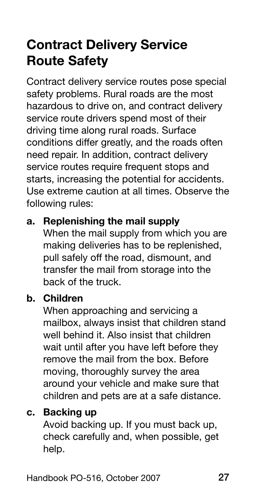## <span id="page-20-0"></span>Contract Delivery Service Route Safety

Contract delivery service routes pose special safety problems. Rural roads are the most hazardous to drive on, and contract delivery service route drivers spend most of their driving time along rural roads. Surface conditions differ greatly, and the roads often need repair. In addition, contract delivery service routes require frequent stops and starts, increasing the potential for accidents. Use extreme caution at all times. Observe the following rules:

### a. Replenishing the mail supply

When the mail supply from which you are making deliveries has to be replenished, pull safely off the road, dismount, and transfer the mail from storage into the back of the truck.

### b. Children

When approaching and servicing a mailbox, always insist that children stand well behind it. Also insist that children wait until after you have left before they remove the mail from the box. Before moving, thoroughly survey the area around your vehicle and make sure that children and pets are at a safe distance.

### c. Backing up

Avoid backing up. If you must back up, check carefully and, when possible, get help.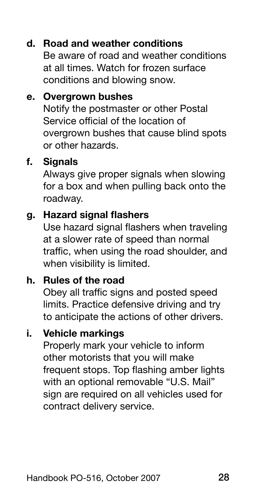### d. Road and weather conditions

Be aware of road and weather conditions at all times. Watch for frozen surface conditions and blowing snow.

### e. Overgrown bushes

Notify the postmaster or other Postal Service official of the location of overgrown bushes that cause blind spots or other hazards.

#### f. Signals

Always give proper signals when slowing for a box and when pulling back onto the roadway.

#### g. Hazard signal flashers

Use hazard signal flashers when traveling at a slower rate of speed than normal traffic, when using the road shoulder, and when visibility is limited.

### h. Rules of the road

Obey all traffic signs and posted speed limits. Practice defensive driving and try to anticipate the actions of other drivers.

### i. Vehicle markings

Properly mark your vehicle to inform other motorists that you will make frequent stops. Top flashing amber lights with an optional removable "U.S. Mail" sign are required on all vehicles used for contract delivery service.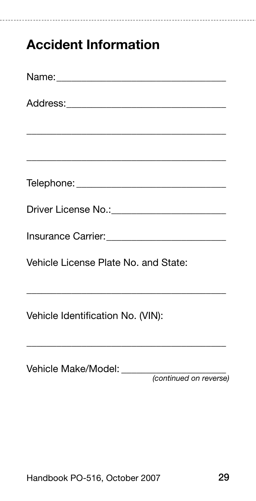## <span id="page-22-0"></span>Accident Information

| <u> Andreas Andreas Andreas Andreas Andreas Andreas Andreas Andreas Andreas Andreas Andreas Andreas Andreas Andreas</u>                                                                                                                                                   |
|---------------------------------------------------------------------------------------------------------------------------------------------------------------------------------------------------------------------------------------------------------------------------|
|                                                                                                                                                                                                                                                                           |
|                                                                                                                                                                                                                                                                           |
|                                                                                                                                                                                                                                                                           |
|                                                                                                                                                                                                                                                                           |
| Vehicle License Plate No. and State:                                                                                                                                                                                                                                      |
| <u> 1989 - Johann Harry Harry Harry Harry Harry Harry Harry Harry Harry Harry Harry Harry Harry Harry Harry Harry Harry Harry Harry Harry Harry Harry Harry Harry Harry Harry Harry Harry Harry Harry Harry Harry Harry Harry Ha</u><br>Vehicle Identification No. (VIN): |

| Vehicle Make/Model: |                        |
|---------------------|------------------------|
|                     | (continued on reverse) |

\_\_\_\_\_\_\_\_\_\_\_\_\_\_\_\_\_\_\_\_\_\_\_\_\_\_\_\_\_\_\_\_\_\_\_\_\_\_\_\_

..........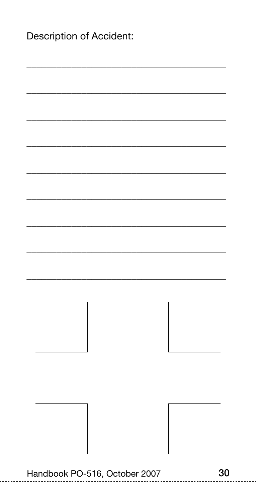| Description of Accident:      |    |
|-------------------------------|----|
|                               |    |
|                               |    |
|                               |    |
|                               |    |
|                               |    |
|                               |    |
|                               |    |
|                               |    |
|                               |    |
|                               |    |
| Handbook PO-516, October 2007 | 30 |

------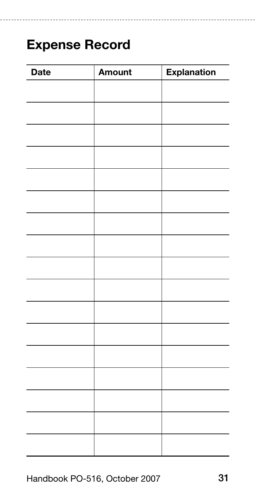## <span id="page-24-0"></span>Expense Record

| Date | Amount | <b>Explanation</b> |
|------|--------|--------------------|
|      |        |                    |
|      |        |                    |
|      |        |                    |
|      |        |                    |
|      |        |                    |
|      |        |                    |
|      |        |                    |
|      |        |                    |
|      |        |                    |
|      |        |                    |
|      |        |                    |
|      |        |                    |
|      |        |                    |
|      |        |                    |
|      |        |                    |
|      |        |                    |
|      |        |                    |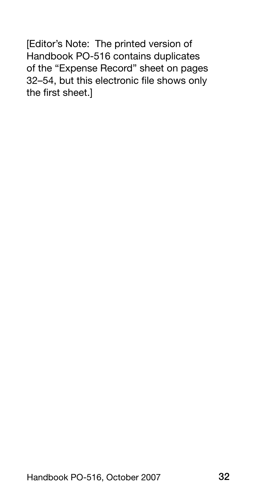[Editor's Note: The printed version of Handbook PO-516 contains duplicates of the "Expense Record" sheet on pages 32–54, but this electronic file shows only the first sheet.]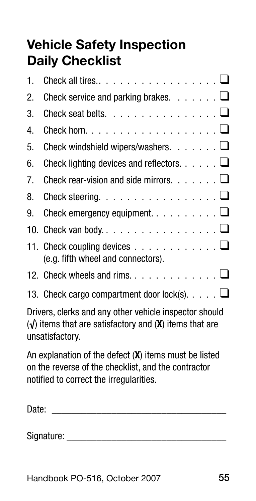## <span id="page-26-0"></span>Vehicle Safety Inspection Daily Checklist

| 1.                                                                                                                                                      | Check all tires $\dots$ $\square$                                                                      |  |
|---------------------------------------------------------------------------------------------------------------------------------------------------------|--------------------------------------------------------------------------------------------------------|--|
| 2.                                                                                                                                                      | Check service and parking brakes. $\ldots \ldots \square$                                              |  |
| 3.                                                                                                                                                      | Check seat belts. $\ldots$ $\Box$                                                                      |  |
| 4.                                                                                                                                                      | Check horn. $\dots$ $\square$                                                                          |  |
| 5.                                                                                                                                                      | Check windshield wipers/washers. $\ldots \ldots \square$                                               |  |
| 6.                                                                                                                                                      | Check lighting devices and reflectors. $\dots$ . $\square$                                             |  |
| 7.                                                                                                                                                      | Check rear-vision and side mirrors. $\dots \dots \square$                                              |  |
| 8.                                                                                                                                                      | Check steering. $\ldots$ $\square$                                                                     |  |
| 9.                                                                                                                                                      | Check emergency equipment. $\ldots$ . $\ldots$ $\Box$                                                  |  |
|                                                                                                                                                         |                                                                                                        |  |
|                                                                                                                                                         | 11. Check coupling devices $\dots \dots \dots \dots \dots \dots$<br>(e.g. fifth wheel and connectors). |  |
|                                                                                                                                                         | 12. Check wheels and rims. $\dots \dots \dots \dots \dots \dots$                                       |  |
|                                                                                                                                                         | 13. Check cargo compartment door lock(s). $\ldots$ $\Box$                                              |  |
| Drivers, clerks and any other vehicle inspector should<br>$(\sqrt{\ }$ items that are satisfactory and $(\mathbf{X})$ items that are<br>unsatisfactory. |                                                                                                        |  |

An explanation of the defect (X) items must be listed on the reverse of the checklist, and the contractor notified to correct the irregularities.

| Date<br>ᆁᄖ<br>$-$ |  |
|-------------------|--|
|                   |  |

Signature: \_\_\_\_\_\_\_\_\_\_\_\_\_\_\_\_\_\_\_\_\_\_\_\_\_\_\_\_\_\_\_\_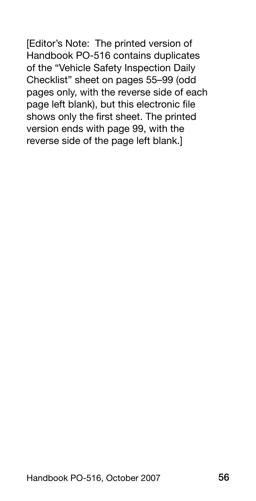[Editor's Note: The printed version of Handbook PO-516 contains duplicates of the "Vehicle Safety Inspection Daily Checklist" sheet on pages 55–99 (odd pages only, with the reverse side of each page left blank), but this electronic file shows only the first sheet. The printed version ends with page 99, with the reverse side of the page left blank.]